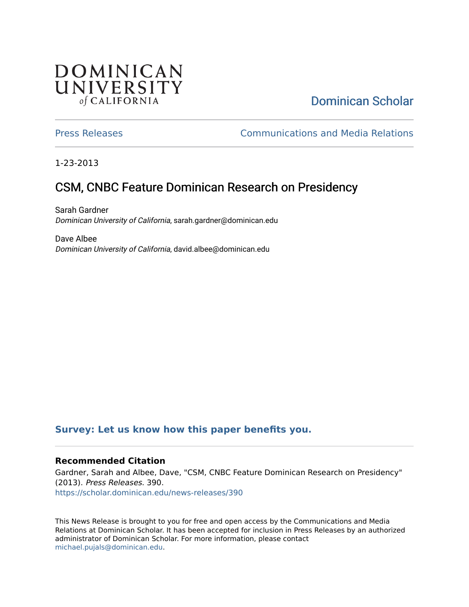## **DOMINICAN** UNIVERSITY of CALIFORNIA

## [Dominican Scholar](https://scholar.dominican.edu/)

[Press Releases](https://scholar.dominican.edu/news-releases) [Communications and Media Relations](https://scholar.dominican.edu/communications-media) 

1-23-2013

# CSM, CNBC Feature Dominican Research on Presidency

Sarah Gardner Dominican University of California, sarah.gardner@dominican.edu

Dave Albee Dominican University of California, david.albee@dominican.edu

### **[Survey: Let us know how this paper benefits you.](https://dominican.libwizard.com/dominican-scholar-feedback)**

#### **Recommended Citation**

Gardner, Sarah and Albee, Dave, "CSM, CNBC Feature Dominican Research on Presidency" (2013). Press Releases. 390. [https://scholar.dominican.edu/news-releases/390](https://scholar.dominican.edu/news-releases/390?utm_source=scholar.dominican.edu%2Fnews-releases%2F390&utm_medium=PDF&utm_campaign=PDFCoverPages)

This News Release is brought to you for free and open access by the Communications and Media Relations at Dominican Scholar. It has been accepted for inclusion in Press Releases by an authorized administrator of Dominican Scholar. For more information, please contact [michael.pujals@dominican.edu.](mailto:michael.pujals@dominican.edu)